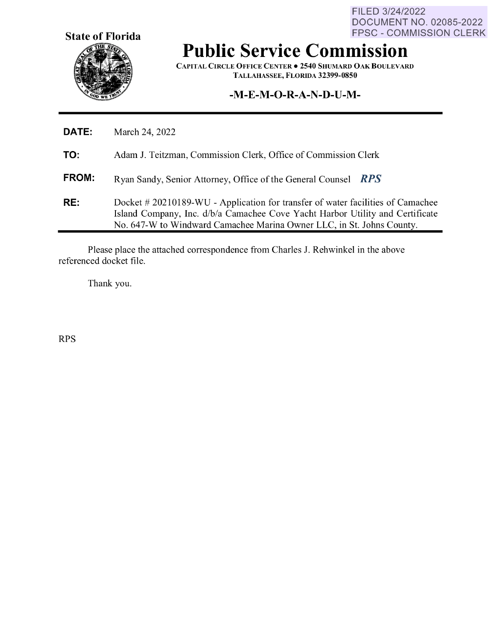**State of Florida** 

FILED 3/24/2022 DOCUMENT NO. 02085-2022 FPSC - COMMISSION CLERK

# **Public Service Commission**

**CAPITAL CIRCLE OFFICE CENTER• 2540 SHUMARD OAK BOULEVARD TALLAHASSEE, FLORIDA 32399-0850** 

#### **-M-E-M-O-R-A-N-D-U-M-**

| <b>DATE:</b> | March 24, 2022                                                                                                                                                                                                                           |
|--------------|------------------------------------------------------------------------------------------------------------------------------------------------------------------------------------------------------------------------------------------|
| TO:          | Adam J. Teitzman, Commission Clerk, Office of Commission Clerk                                                                                                                                                                           |
| <b>FROM:</b> | Ryan Sandy, Senior Attorney, Office of the General Counsel RPS                                                                                                                                                                           |
| RE:          | Docket #20210189-WU - Application for transfer of water facilities of Camachee<br>Island Company, Inc. d/b/a Camachee Cove Yacht Harbor Utility and Certificate<br>No. 647-W to Windward Camachee Marina Owner LLC, in St. Johns County. |

Please place the attached correspondence from Charles J. Rehwinkel in the above referenced docket file.

Thank you.

RPS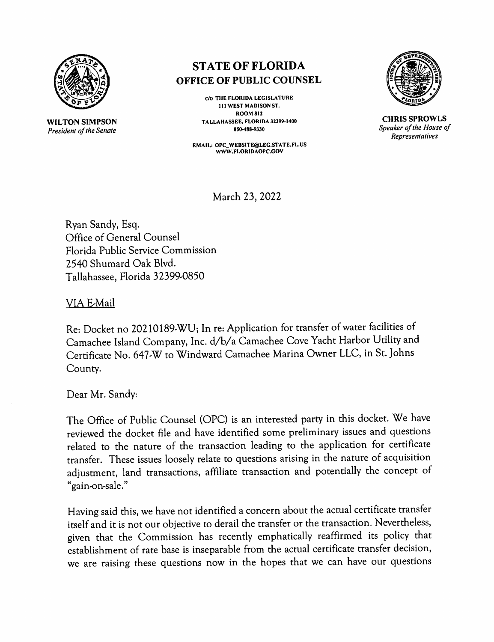

**WILTON SIMPSON**  *President of the Senate* 

## **ST ATE OF FLORIDA OFFICE OF PUBLIC COUNSEL**

**C/0 THE FLORIDA LEGISLATURE 111 WEST MADISON ST. ROOM812 TALLAHASSEE, FLORIDA 32399-1400 850-488-9330** 

**EMAIL: OPC\_ WEBSITE@LEG.STATE.FL.US WWW.FLORIDAOPC.GOV** 



**CHRIS SPROWLS**  *Speaker of the House of Representatives* 

March 23, 2022

Ryan Sandy, Esq. Office of General Counsel Florida Public Service Commission 2540 Shumard Oak Blvd. Tallahassee, Florida 3 2399-0850

VIA E-Mail

Re: Docket no 20210189-WU; In re: Application for transfer of water facilities of Camachee Island Company, Inc. d/b/a Camachee Cove Yacht Harbor Utility and Certificate No. 647-W to Windward Camachee Marina Owner LLC, in St. Johns County.

Dear Mr. Sandy:

The Office of Public Counsel (OPC) is an interested party in this docket. We have reviewed the docket file and have identified some preliminary issues and questions related to the nature of the transaction leading to the application for certificate transfer. These issues loosely relate to questions arising in the nature of acquisition adjustment, land transactions, affiliate transaction and potentially the concept of " gain-on-sale."

Having said this, we have not identified a concern about the actual certificate transfer itself and it is not our objective to derail the transfer or the transaction. Nevertheless, <sup>g</sup>iven that the Commission has recently emphatically reaffirmed its policy that establishment of rate base is inseparable from the actual certificate transfer decision, we are raising these questions now in the hopes that we can have our questions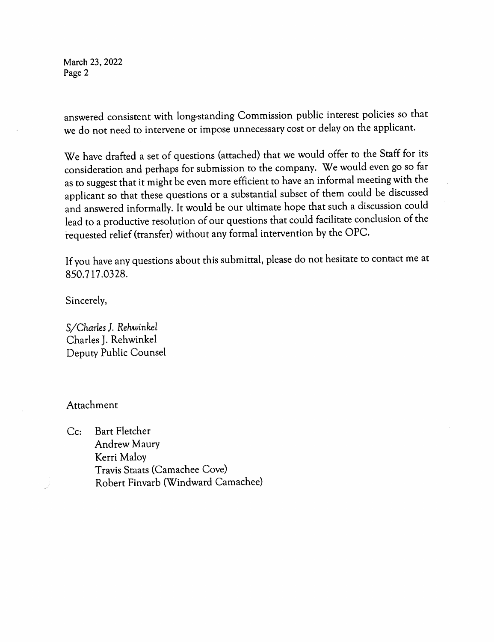March 23, 2022 Page 2

answered consistent with long-standing Commission public interest policies so that we do not need to intervene or impose unnecessary cost or delay on the applicant.

We have drafted a set of questions (attached) that we would offer to the Staff for its consideration and perhaps for submission to the company. We would even go so far as to suggest that it might be even more efficient to have an informal meeting with the applicant so that these questions or a substantial subset of them could be discussed and answered informally. It would be our ultimate hope that such a discussion could lead to a productive resolution of our questions that could facilitate conclusion of the requested relief (transfer) without any formal intervention by the OPC.

If you have any questions about this submittal, please do not hesitate to contact me at 850. 717 .03 28.

Sincerely,

*S/Charles ]. Rehwinkel*  Charles J. Rehwinkel Deputy Public Counsel

#### Attachment

Cc: Bart Fletcher Andrew Maury Kerri Maloy Travis Staats (Camachee Cove) Robert Finvarb (Windward Camachee)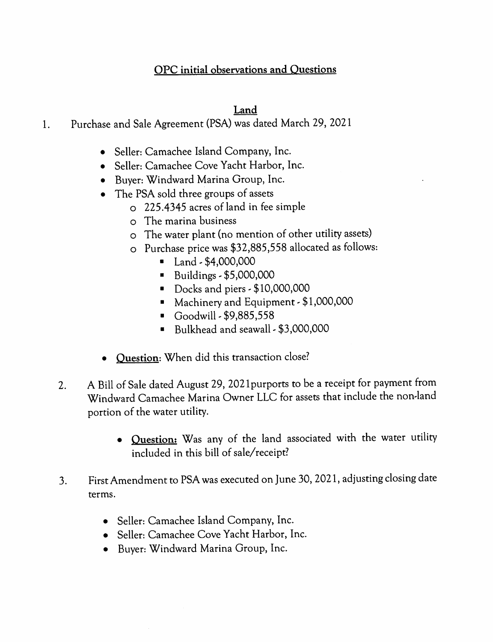## **OPC initial observations and Questions**

### **Land**

- 1. Purchase and Sale Agreement (PSA) was dated March 29, 2021
	- Seller: Camachee Island Company, Inc.
	- Seller: Camachee Cove Yacht Harbor, Inc.
	- Buyer: Windward Marina Group, Inc.
	- The PSA sold three groups of assets
		- <sup>o</sup>225.4345 acres of land in fee simple
		- <sup>o</sup>The marina business
		- <sup>o</sup>The water plant (no mention of other utility assets)
		- o Purchase price was \$32,885,558 allocated as follows:
			- $\blacksquare$  Land \$4,000,000
			- $\blacksquare$  Buildings \$5,000,000
			- Docks and piers \$10,000,000
			- Machinery and Equipment \$1,000,000
			- Goodwill  $-$  \$9,885,558
			- Bulkhead and seawall \$3,000,000
	- **Question:** When did this transaction close?
	- 2. A Bill of Sale dated August 29, 202 lpurports to be a receipt for payment from Windward Camachee Marina Owner LLC for assets that include the non-land portion of the water utility.
		- **Question:** Was any of the land associated with the water utility included in this bill of sale/receipt?
	- 3. First Amendment to PSA was executed on June 30, 2021, adjusting closing date terms.
		- Seller: Camachee Island Company, Inc.
		- Seller: Camachee Cove Yacht Harbor, Inc.
		- Buyer: Windward Marina Group, Inc.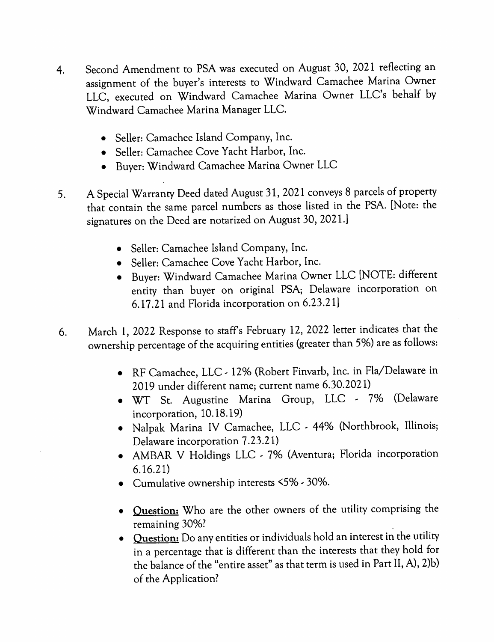- 4. Second Amendment to PSA was executed on August 30, 2021 reflecting an assignment of the buyer's interests to Windward Camachee Marina Owner LLC, executed on Windward Camachee Marina Owner LLC's behalf by Windward Camachee Marina Manager LLC.
	- Seller: Camachee Island Company, Inc.
	- Seller: Camachee Cove Yacht Harbor, Inc.
	- Buyer: Windward Camachee Marina Owner LLC
- 5. A Special Warranty Deed dated August 31, 2021 conveys 8 parcels of property that contain the same parcel numbers as those listed in the PSA. [Note: the signatures on the Deed are notarized on August 30, 2021.]
	- Seller: Camachee Island Company, Inc.
	- Seller: Camachee Cove Yacht Harbor, Inc.
	- Buyer: Windward Camachee Marina Owner LLC [NOTE: different entity than buyer on original PSA; Delaware incorporation on 6.17 .21 and Florida incorporation on 6.23.21]
- 6. March 1, 2022 Response to staffs February 12, 2022 letter indicates that the ownership percentage of the acquiring entities (greater than 5%) are as follows:
	- RF Camachee, LLC 12% (Robert Finvarb, Inc. in Fla/Delaware in 2019 under different name; current name 6.30.2021)
	- WT St. Augustine Marina Group, LLC 7% (Delaware incorporation, 10.18.19)
	- Nalpak Marina IV Camachee, LLC 44% (Northbrook, Illinois; Delaware incorporation 7.23.21)
	- AMBAR V Holdings LLC 7% (Aventura; Florida incorporation 6.16.21)
	- Cumulative ownership interests  $5\%$  30%.
	- **Question:** Who are the other owners of the utility comprising the remaining 30%? .
	- **Question:** Do any entities or individuals hold an interest in the utility in a percentage that is different than the interests that they hold for the balance of the "entire asset" as that term is used in Part II, A), 2)b) of the Application?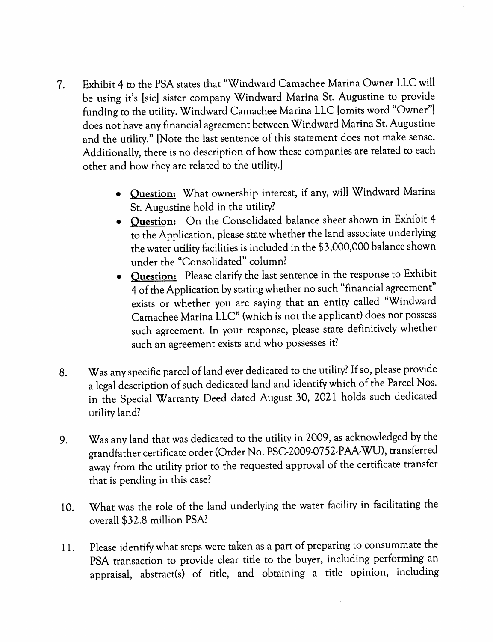- 7. Exhibit 4 to the PSA states that "Windward Camachee Marina Owner LLC will be using it's [sic] sister company Windward Marina St. Augustine to provide funding to the utility. Windward Camachee Marina LLC [omits word "Owner"] does not have any financial agreement between Windward Marina St. Augustine and the utility." [Note the last sentence of this statement does not make sense. Additionally, there is no description of how these companies are related to each other and how they are related to the utility.]
	- **Question:** What ownership interest, if any, will Windward Marina St. Augustine hold in the utility?
	- **Question:** On the Consolidated balance sheet shown in Exhibit 4 to the Application, please state whether the land associate underlying the water utility facilities is included in the \$3,000,000 balance shown under the "Consolidated" column?
	- **Question:** Please clarify the last sentence in the response to Exhibit <sup>4</sup>of the Application by stating whether no such "financial agreement" exists or whether you are saying that an entity called "Windward Camachee Marina LLC" (which is not the applicant) does not possess such agreement. In your response, please state definitively whether such an agreement exists and who possesses it?
- 8. Was any specific parcel of land ever dedicated to the utility? If so, please provide a legal description of such dedicated land and identify which of the Parcel Nos. in the Special Warranty Deed dated August 30, 2021 holds such dedicated utility land?
- 9. Was any land that was dedicated to the utility in 2009, as acknowledged by the grandfather certificate order (Order No. PSC-2009-0752-PAA-WU), transferred away from the utility prior to the requested approval of the certificate transfer that is pending in this case?
- 10. What was the role of the land underlying the water facility in facilitating the overall \$32.8 million PSA?
- 11. Please identify what steps were taken as a part of preparing to consummate the PSA transaction to provide clear title to the buyer, including performing an appraisal, abstract(s) of title, and obtaining a title opinion, including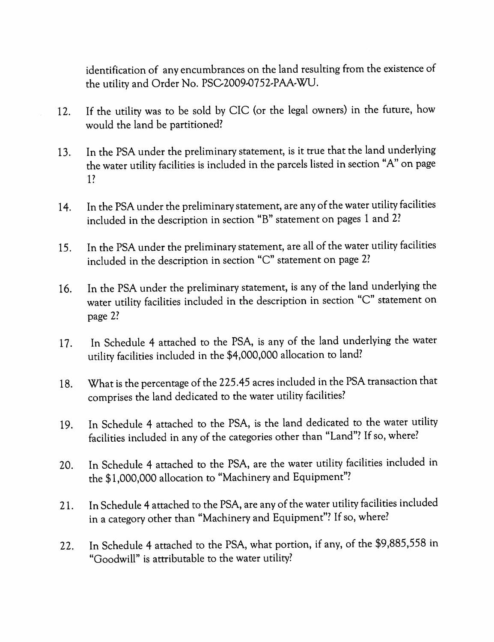identification of any encumbrances on the land resulting from the existence of the utility and Order No. PSC-2009-0752-PAA-WU.

- 12. If the utility was to be sold by CIC (or the legal owners) in the furure, how would the land be partitioned?
- 13. In the PSA under the preliminary statement, is it true that the land underlying the water utility facilities is included in the parcels listed in section "A" on page l?
- 14. In the PSA under the preliminary statement, are any of the water utility facilities included in the description in section "B" statement on pages 1 and 2?
- 15. In the PSA under the preliminary statement, are all of the water utility facilities included in the description in section "C" statement on page 2?
- 16. In the PSA under the preliminary statement, is any of the land underlying the water utility facilities included in the description in section "C" statement on page 2?
- 17. In Schedule 4 attached to the PSA, is any of the land underlying the water utility facilities included in the \$4,000,000 allocation to land?
- 18. What is the percentage of the 225 .45 acres included in the PSA transaction that comprises the land dedicated to the water utility facilities?
- 19. In Schedule 4 attached to the PSA, is the land dedicated to the water utility facilities included in any of the categories other than "Land"? If so, where?
- 20. In Schedule 4 attached to the PSA, are the water utility facilities included in the \$1,000,000 allocation to "Machinery and Equipment"?
- 21. In Schedule 4 attached to the PSA, are any of the water utility facilities included in a category other than "Machinery and Equipment"? If so, where?
- 22. In Schedule 4 attached to the PSA, what portion, if any, of the \$9,885,558 in "Goodwill" is attributable to the water utility?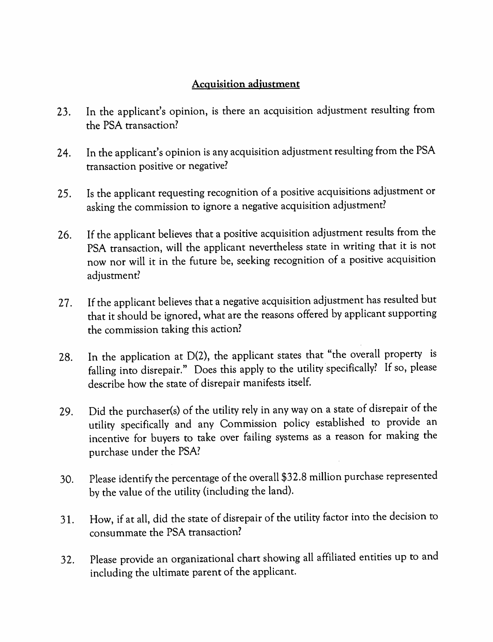### **Acquisition adjustment**

- 23. In the applicant's opinion, is there an acquisition adjustment resulting from the PSA transaction?
- 24. In the applicant's opinion is any acquisition adjustment resulting from the PSA transaction positive or negative?
- 25. Is the applicant requesting recognition of a positive acquisitions adjustment or asking the commission to ignore a negative acquisition adjustment?
- 26. If the applicant believes that a positive acquisition adjustment results from the PSA transaction, will the applicant nevertheless state in writing that it is not now nor will it in the future be, seeking recognition of a positive acquisition adjustment?
- <sup>2</sup>7. If the applicant believes that a negative acquisition adjustment has resulted but that it should be ignored, what are the reasons offered by applicant supporting the commission taking this action?
- 28. In the application at D(2), the applicant states that "the overall property is falling into disrepair." Does this apply to the utility specifically? If so, please describe how the state of disrepair manifests itself.
- 29. Did the purchaser(s) of the utility rely in any way on a state of disrepair of the utility specifically and any Commission policy established to provide an incentive for buyers to take over failing systems as a reason for making the purchase under the PSA?
- 30. Please identify the percentage of the overall \$3 2.8 million purchase represented by the value of the utility (including the land).
- 31. How, if at all, did the state of disrepair of the utility factor into the decision to consummate the PSA transaction?
- <sup>3</sup>2. Please provide an organizational chart showing all affiliated entities up to and including the ultimate parent of the applicant.